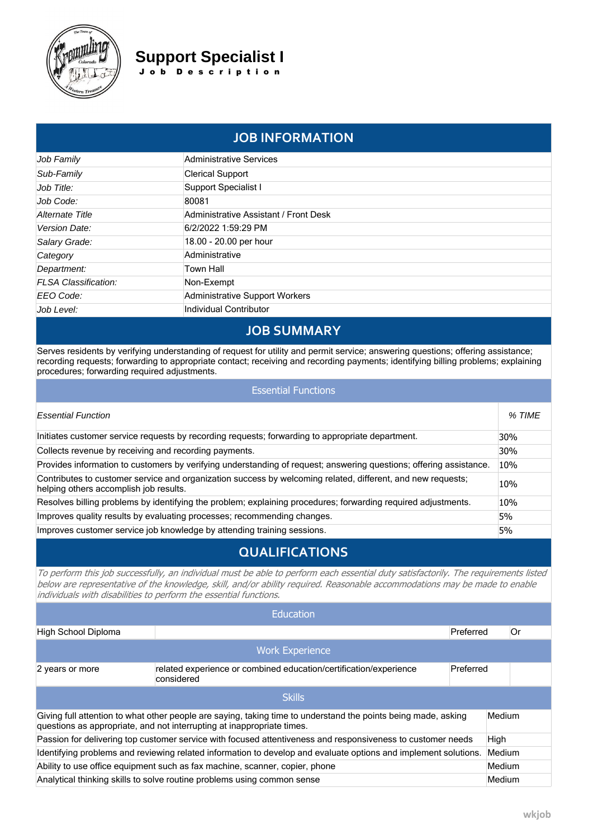

Job Family Sub-Family Job Title: Job Code: **Alternate Title** Version Date:

## **Support Specialist I** J o b D e s c r i p t i o n

| <b>JOB INFORMATION</b> |                                              |  |  |  |
|------------------------|----------------------------------------------|--|--|--|
|                        | <b>Administrative Services</b>               |  |  |  |
|                        | <b>Clerical Support</b>                      |  |  |  |
|                        | Support Specialist I                         |  |  |  |
|                        | 80081                                        |  |  |  |
|                        | <b>Administrative Assistant / Front Desk</b> |  |  |  |
|                        | 6/2/2022 1:59:29 PM                          |  |  |  |
|                        | $\sim$ $\sim$ $\sim$ $\sim$ $\sim$ $\sim$    |  |  |  |

| Salary Grade:        | 18.00 - 20.00 per hour         |
|----------------------|--------------------------------|
| Category             | Administrative                 |
| Department:          | Town Hall                      |
| FLSA Classification: | Non-Exempt                     |
| EEO Code:            | Administrative Support Workers |
| Job Level:           | Individual Contributor         |

# **JOB SUMMARY**

Serves residents by verifying understanding of request for utility and permit service; answering questions; offering assistance; recording requests; forwarding to appropriate contact; receiving and recording payments; identifying billing problems; explaining procedures; forwarding required adjustments.

### Essential Functions

| <b>Essential Function</b>                                                                                                                             | % TIME |
|-------------------------------------------------------------------------------------------------------------------------------------------------------|--------|
| Initiates customer service requests by recording requests; forwarding to appropriate department.                                                      | 30%    |
| Collects revenue by receiving and recording payments.                                                                                                 | 30%    |
| Provides information to customers by verifying understanding of request; answering questions; offering assistance.                                    | 10%    |
| Contributes to customer service and organization success by welcoming related, different, and new requests;<br>helping others accomplish job results. | 10%    |
| Resolves billing problems by identifying the problem; explaining procedures; forwarding required adjustments.                                         | 10%    |
| Improves quality results by evaluating processes; recommending changes.                                                                               | 5%     |
| Improves customer service job knowledge by attending training sessions.                                                                               | 5%     |

## **QUALIFICATIONS**

*To perform this job successfully, an individual must be able to perform each essential duty satisfactorily. The requirements listed below are representative of the knowledge, skill, and/or ability required. Reasonable accommodations may be made to enable individuals with disabilities to perform the essential functions.*

|                                                                                                                                                                                                    | <b>Education</b>                                                                             |           |        |        |  |  |  |
|----------------------------------------------------------------------------------------------------------------------------------------------------------------------------------------------------|----------------------------------------------------------------------------------------------|-----------|--------|--------|--|--|--|
| High School Diploma                                                                                                                                                                                |                                                                                              | Preferred |        | 0r     |  |  |  |
|                                                                                                                                                                                                    | <b>Work Experience</b>                                                                       |           |        |        |  |  |  |
| 2 years or more                                                                                                                                                                                    | related experience or combined education/certification/experience<br>Preferred<br>considered |           |        |        |  |  |  |
|                                                                                                                                                                                                    | <b>Skills</b>                                                                                |           |        |        |  |  |  |
| Giving full attention to what other people are saying, taking time to understand the points being made, asking<br>Medium<br>questions as appropriate, and not interrupting at inappropriate times. |                                                                                              |           |        |        |  |  |  |
| Passion for delivering top customer service with focused attentiveness and responsiveness to customer needs                                                                                        |                                                                                              |           |        |        |  |  |  |
| Identifying problems and reviewing related information to develop and evaluate options and implement solutions.                                                                                    |                                                                                              |           | Medium |        |  |  |  |
| Ability to use office equipment such as fax machine, scanner, copier, phone                                                                                                                        |                                                                                              |           | Medium |        |  |  |  |
| Analytical thinking skills to solve routine problems using common sense                                                                                                                            |                                                                                              |           |        | Medium |  |  |  |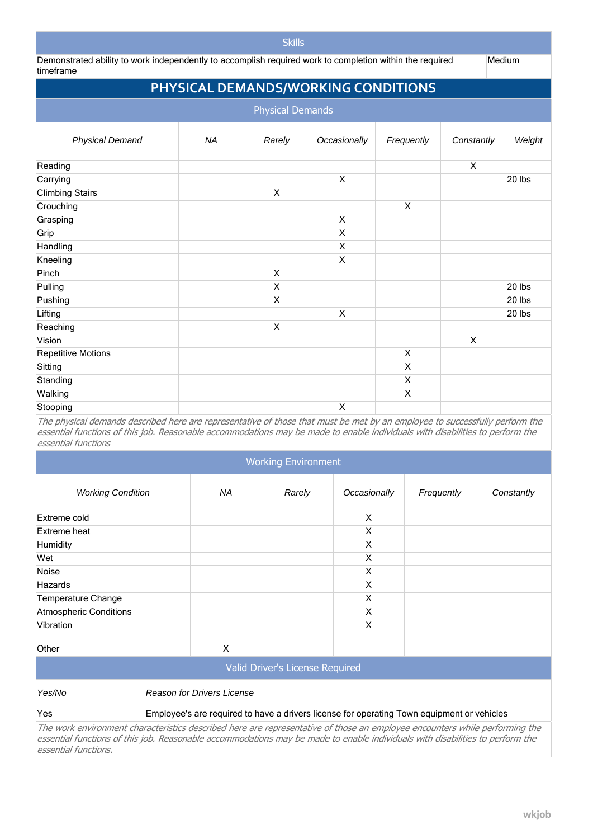### **Skills**

Demonstrated ability to work independently to accomplish required work to completion within the required timeframe

**Medium** 

# **PHYSICAL DEMANDS/WORKING CONDITIONS**

| <b>Physical Demands</b>   |           |             |              |                |                           |        |
|---------------------------|-----------|-------------|--------------|----------------|---------------------------|--------|
| <b>Physical Demand</b>    | <b>NA</b> | Rarely      | Occasionally | Frequently     | Constantly                | Weight |
| Reading                   |           |             |              |                | X                         |        |
| Carrying                  |           |             | X            |                |                           | 20 lbs |
| <b>Climbing Stairs</b>    |           | $\mathsf X$ |              |                |                           |        |
| Crouching                 |           |             |              | $\pmb{\times}$ |                           |        |
| Grasping                  |           |             | X            |                |                           |        |
| Grip                      |           |             | X            |                |                           |        |
| Handling                  |           |             | X            |                |                           |        |
| Kneeling                  |           |             | X            |                |                           |        |
| Pinch                     |           | X           |              |                |                           |        |
| Pulling                   |           | X           |              |                |                           | 20 lbs |
| Pushing                   |           | X           |              |                |                           | 20 lbs |
| Lifting                   |           |             | X            |                |                           | 20 lbs |
| Reaching                  |           | X           |              |                |                           |        |
| Vision                    |           |             |              |                | $\boldsymbol{\mathsf{X}}$ |        |
| <b>Repetitive Motions</b> |           |             |              | X              |                           |        |
| Sitting                   |           |             |              | X              |                           |        |
| Standing                  |           |             |              | X              |                           |        |
| Walking                   |           |             |              | X              |                           |        |
| Stooping                  |           |             | Χ            |                |                           |        |

*The physical demands described here are representative of those that must be met by an employee to successfully perform the essential functions of this job. Reasonable accommodations may be made to enable individuals with disabilities to perform the essential functions*

### Working Environment

| <b>Working Condition</b>                                                                                                                                                                                                                                     | NА                                                                                         | Rarely | Occasionally | Frequently | Constantly |  |
|--------------------------------------------------------------------------------------------------------------------------------------------------------------------------------------------------------------------------------------------------------------|--------------------------------------------------------------------------------------------|--------|--------------|------------|------------|--|
| Extreme cold                                                                                                                                                                                                                                                 |                                                                                            |        | X            |            |            |  |
| Extreme heat                                                                                                                                                                                                                                                 |                                                                                            |        | X            |            |            |  |
| Humidity                                                                                                                                                                                                                                                     |                                                                                            |        | X            |            |            |  |
| Wet                                                                                                                                                                                                                                                          |                                                                                            |        | X            |            |            |  |
| Noise                                                                                                                                                                                                                                                        |                                                                                            |        | X            |            |            |  |
| <b>Hazards</b>                                                                                                                                                                                                                                               |                                                                                            |        | X            |            |            |  |
| <b>Temperature Change</b>                                                                                                                                                                                                                                    | X                                                                                          |        |              |            |            |  |
| <b>Atmospheric Conditions</b>                                                                                                                                                                                                                                | X                                                                                          |        |              |            |            |  |
| Vibration                                                                                                                                                                                                                                                    |                                                                                            |        | X            |            |            |  |
| Other                                                                                                                                                                                                                                                        | $\times$                                                                                   |        |              |            |            |  |
| Valid Driver's License Required                                                                                                                                                                                                                              |                                                                                            |        |              |            |            |  |
| Yes/No                                                                                                                                                                                                                                                       | <b>Reason for Drivers License</b>                                                          |        |              |            |            |  |
| Yes                                                                                                                                                                                                                                                          | Employee's are required to have a drivers license for operating Town equipment or vehicles |        |              |            |            |  |
| The work environment characteristics described here are representative of those an employee encounters while performing the<br>essential functions of this job. Reasonable accommodations may be made to enable individuals with disabilities to perform the |                                                                                            |        |              |            |            |  |

*essential functions.*